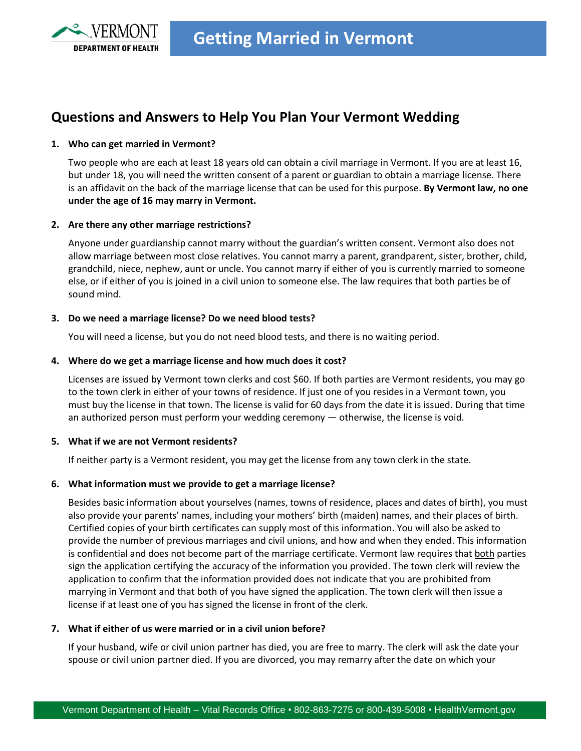

# **Questions and Answers to Help You Plan Your Vermont Wedding**

# **1. Who can get married in Vermont?**

Two people who are each at least 18 years old can obtain a civil marriage in Vermont. If you are at least 16, but under 18, you will need the written consent of a parent or guardian to obtain a marriage license. There is an affidavit on the back of the marriage license that can be used for this purpose. **By Vermont law, no one under the age of 16 may marry in Vermont.** 

### **2. Are there any other marriage restrictions?**

Anyone under guardianship cannot marry without the guardian's written consent. Vermont also does not allow marriage between most close relatives. You cannot marry a parent, grandparent, sister, brother, child, grandchild, niece, nephew, aunt or uncle. You cannot marry if either of you is currently married to someone else, or if either of you is joined in a civil union to someone else. The law requires that both parties be of sound mind.

### **3. Do we need a marriage license? Do we need blood tests?**

You will need a license, but you do not need blood tests, and there is no waiting period.

### **4. Where do we get a marriage license and how much does it cost?**

Licenses are issued by Vermont town clerks and cost \$60. If both parties are Vermont residents, you may go to the town clerk in either of your towns of residence. If just one of you resides in a Vermont town, you must buy the license in that town. The license is valid for 60 days from the date it is issued. During that time an authorized person must perform your wedding ceremony — otherwise, the license is void.

#### **5. What if we are not Vermont residents?**

If neither party is a Vermont resident, you may get the license from any town clerk in the state.

# **6. What information must we provide to get a marriage license?**

Besides basic information about yourselves (names, towns of residence, places and dates of birth), you must also provide your parents' names, including your mothers' birth (maiden) names, and their places of birth. Certified copies of your birth certificates can supply most of this information. You will also be asked to provide the number of previous marriages and civil unions, and how and when they ended. This information is confidential and does not become part of the marriage certificate. Vermont law requires that both parties sign the application certifying the accuracy of the information you provided. The town clerk will review the application to confirm that the information provided does not indicate that you are prohibited from marrying in Vermont and that both of you have signed the application. The town clerk will then issue a license if at least one of you has signed the license in front of the clerk.

### **7. What if either of us were married or in a civil union before?**

If your husband, wife or civil union partner has died, you are free to marry. The clerk will ask the date your spouse or civil union partner died. If you are divorced, you may remarry after the date on which your